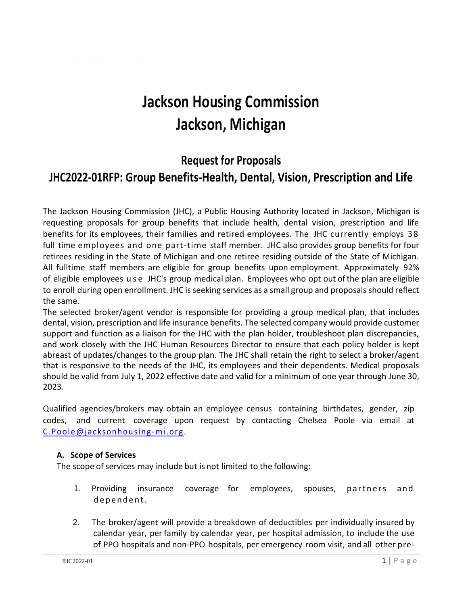# **Jackson Housing Commission Jackson, Michigan**

# **Request for Proposals JHC2022-01RFP: Group Benefits-Health, Dental, Vision, Prescription and Life**

The Jackson Housing Commission (JHC), a Public Housing Authority located in Jackson, Michigan is requesting proposals for group benefits that include health, dental vision, prescription and life benefits for its employees, their families and retired employees. The JHC currently employs 3 8 full time employees and one part-time staff member. JHC also provides group benefits for four retirees residing in the State of Michigan and one retiree residing outside of the State of Michigan. All fulltime staff members are eligible for group benefits upon employment. Approximately 92% of eligible employees u s e JHC's group medical plan. Employees who opt out of the plan are eligible to enroll during open enrollment. JHC is seeking services as a small group and proposals should reflect the same.

The selected broker/agent vendor is responsible for providing a group medical plan, that includes dental, vision, prescription and life insurance benefits. The selected company would provide customer support and function as a liaison for the JHC with the plan holder, troubleshoot plan discrepancies, and work closely with the JHC Human Resources Director to ensure that each policy holder is kept abreast of updates/changes to the group plan. The JHC shall retain the right to select a broker/agent that is responsive to the needs of the JHC, its employees and their dependents. Medical proposals should be valid from July 1, 2022 effective date and valid for a minimum of one year through June 30, 2023.

Qualified agencies/brokers may obtain an employee census containing birthdates, gender, zip codes, and current coverage upon request by contacting Chelsea Poole via email at C. Poole @jacksonhousing-mi.org.

#### **A. Scope of Services**

The scope of services may include but is not limited to the following:

- 1. Providing insurance coverage for employees, spouses, partners and dependent.
- 2. The broker/agent will provide a breakdown of deductibles per individually insured by calendar year, per family by calendar year, per hospital admission, to include the use of PPO hospitals and non-PPO hospitals, per emergency room visit, and all other pre-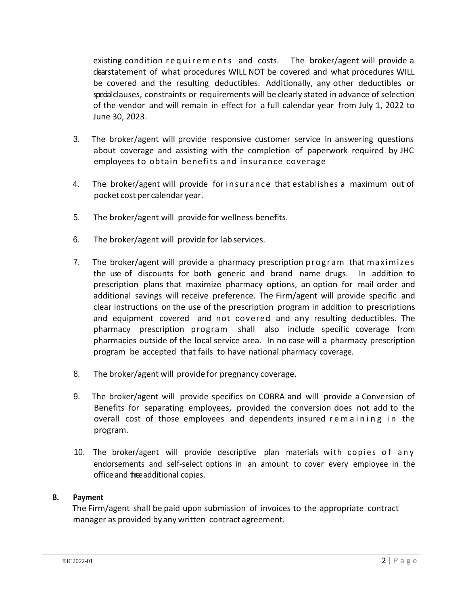existing condition requirements and costs. The broker/agent will provide a clearstatement of what procedures WILL NOT be covered and what procedures WILL be covered and the resulting deductibles. Additionally, any other deductibles or special clauses, constraints or requirements will be clearly stated in advance of selection of the vendor and will remain in effect for a full calendar year from July 1, 2022 to June 30, 2023.

- 3. The broker/agent will provide responsive customer service in answering questions about coverage and assisting with the completion of paperwork required by JHC employees to obtain benefits and insurance coverage
- 4. The broker/agent will provide for insurance that establishes a maximum out of pocket cost per calendar year.
- 5. The broker/agent will provide for wellness benefits.
- 6. The broker/agent will provide for lab services.
- 7. The broker/agent will provide a pharmacy prescription program that maximizes the use of discounts for both generic and brand name drugs. In addition to prescription plans that maximize pharmacy options, an option for mail order and additional savings will receive preference. The Firm/agent will provide specific and clear instructions on the use of the prescription program in addition to prescriptions and equipment covered and not covered and any resulting deductibles. The pharmacy prescription program shall also include specific coverage from pharmacies outside of the local service area. In no case will a pharmacy prescription program be accepted that fails to have national pharmacy coverage.
- 8. The broker/agent will provide for pregnancy coverage.
- 9. The broker/agent will provide specifics on COBRA and will provide a Conversion of Benefits for separating employees, provided the conversion does not add to the overall cost of those employees and dependents insured remaining in the program.
- 10. The broker/agent will provide descriptive plan materials with copies of any endorsements and self-select options in an amount to cover every employee in the office and three additional copies.

## **B. Payment**

The Firm/agent shall be paid upon submission of invoices to the appropriate contract manager as provided byany written contract agreement.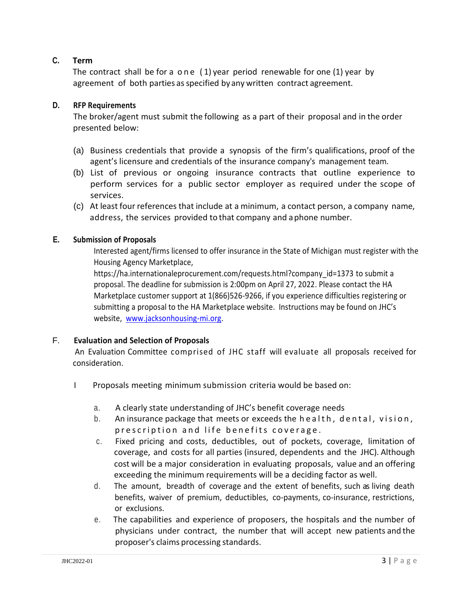## **C. Term**

The contract shall be for a one  $(1)$  year period renewable for one  $(1)$  year by agreement of both parties as specified by any written contract agreement.

## **D. RFP Requirements**

The broker/agent must submit the following as a part of their proposal and in the order presented below:

- (a) Business credentials that provide a synopsis of the firm's qualifications, proof of the agent's licensure and credentials of the insurance company's management team.
- (b) List of previous or ongoing insurance contracts that outline experience to perform services for a public sector employer as required under the scope of services.
- (c) At least four references that include at a minimum, a contact person, a company name, address, the services provided to that company and aphone number.

#### **E. Submission of Proposals**

Interested agent/firms licensed to offer insurance in the State of Michigan must register with the Housing Agency Marketplace,

https://ha.internationaleprocurement.com/requests.html?company\_id=1373 to submit a proposal. The deadline for submission is 2:00pm on April 27, 2022. Please contact the HA Marketplace customer support at 1(866)526-9266, if you experience difficulties registering or submitting a proposal to the HA Marketplace website. Instructions may be found on JHC's website, [www.jacksonhousing-mi.org.](http://www.jacksonhousing-mi.org/)

#### F. **Evaluation and Selection of Proposals**

An Evaluation Committee comprised of JHC staff will evaluate all proposals received for consideration.

- I Proposals meeting minimum submission criteria would be based on:
	- a. A clearly state understanding of JHC's benefit coverage needs
	- b. An insurance package that meets or exceeds the health, dental, vision, prescription and life benefits coverage.
	- c. Fixed pricing and costs, deductibles, out of pockets, coverage, limitation of coverage, and costs for all parties (insured, dependents and the JHC). Although cost will be a major consideration in evaluating proposals, value and an offering exceeding the minimum requirements will be a deciding factor as well.
	- d. The amount, breadth of coverage and the extent of benefits, such as living death benefits, waiver of premium, deductibles, co-payments, co-insurance, restrictions, or exclusions.
	- e. The capabilities and experience of proposers, the hospitals and the number of physicians under contract, the number that will accept new patients and the proposer's claims processing standards.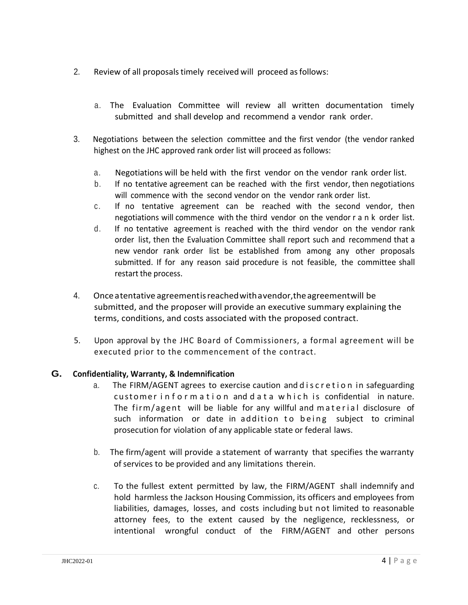- 2. Review of all proposals timely received will proceed as follows:
	- a. The Evaluation Committee will review all written documentation timely submitted and shall develop and recommend a vendor rank order.
- 3. Negotiations between the selection committee and the first vendor (the vendor ranked highest on the JHC approved rank order list will proceed as follows:
	- a. Negotiations will be held with the first vendor on the vendor rank order list.
	- b. If no tentative agreement can be reached with the first vendor, then negotiations will commence with the second vendor on the vendor rank order list.
	- c. If no tentative agreement can be reached with the second vendor, then negotiations will commence with the third vendor on the vendor r a n k order list.
	- d. If no tentative agreement is reached with the third vendor on the vendor rank order list, then the Evaluation Committee shall report such and recommend that a new vendor rank order list be established from among any other proposals submitted. If for any reason said procedure is not feasible, the committee shall restart the process.
- 4. Onceatentative agreementisreached withavendor,theagreementwill be submitted, and the proposer will provide an executive summary explaining the terms, conditions, and costs associated with the proposed contract.
- 5. Upon approval by the JHC Board of Commissioners, a formal agreement will be executed prior to the commencement of the contract.

## **G. Confidentiality, Warranty, & Indemnification**

- a. The FIRM/AGENT agrees to exercise caution and d i s c r e t i o n in safeguarding customer information and data which is confidential in nature. The firm/agent will be liable for any willful and material disclosure of such information or date in addition to being subject to criminal prosecution for violation of any applicable state or federal laws.
- b. The firm/agent will provide a statement of warranty that specifies the warranty of services to be provided and any limitations therein.
- c. To the fullest extent permitted by law, the FIRM/AGENT shall indemnify and hold harmless the Jackson Housing Commission, its officers and employees from liabilities, damages, losses, and costs including but not limited to reasonable attorney fees, to the extent caused by the negligence, recklessness, or intentional wrongful conduct of the FIRM/AGENT and other persons